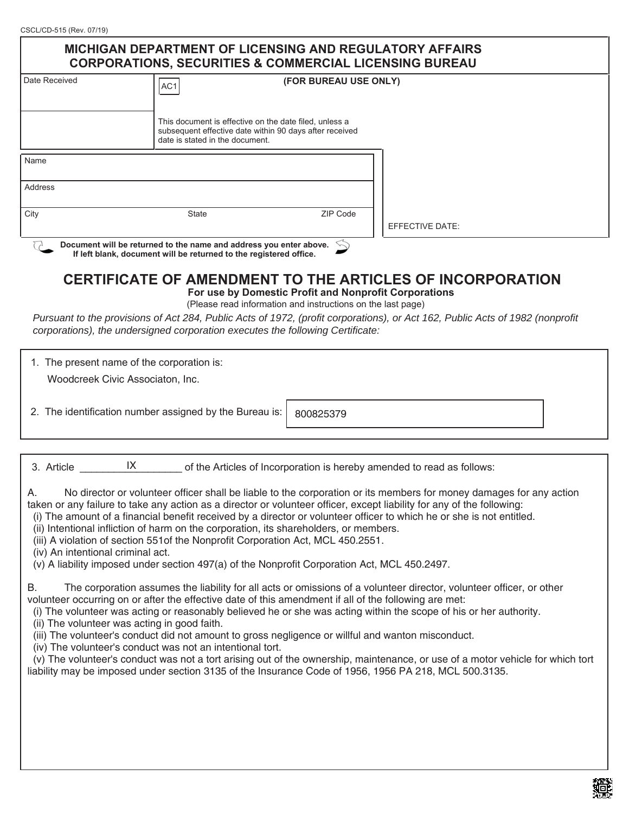Г

# **MICHIGAN DEPARTMENT OF LICENSING AND REGULATORY AFFAIRS CORPORATIONS, SECURITIES & COMMERCIAL LICENSING BUREAU**

| Date Received | (FOR BUREAU USE ONLY)<br>AC <sub>1</sub>                                                                                                             |          |                 |
|---------------|------------------------------------------------------------------------------------------------------------------------------------------------------|----------|-----------------|
|               | This document is effective on the date filed, unless a<br>subsequent effective date within 90 days after received<br>date is stated in the document. |          |                 |
| Name          |                                                                                                                                                      |          |                 |
| Address       |                                                                                                                                                      |          |                 |
| City          | <b>State</b>                                                                                                                                         | ZIP Code | EFFECTIVE DATE: |

Document will be returned to the name and address you enter above. If left blank, document will be returned to the registered office.

# CERTIFICATE OF AMENDMENT TO THE ARTICLES OF INCORPORATION

**For use by Domestic Profit and Nonprofit Corporations** (Please read information and instructions on the last page)

*Pursuant to the provisions of Act 284, Public Acts of 1972, (profit corporations), or Act 162, Public Acts of 1982 (nonprofit corporations), the undersigned corporation executes the following Certificate:*

1. The present name of the corporation is:

Woodcreek Civic Associaton, Inc.

2. The identification number assigned by the Bureau is:

800825379

|                                                                                                                                                                                                                                                                                                                                                                                                                                                                                                                                                                                                                                                                                                                                                                                                                                                                                                                         | 3. Article | IX.                               | of the Articles of Incorporation is hereby amended to read as follows:                                                                                                                                                                                                                                                                                                                                                                                                                                                                              |   |
|-------------------------------------------------------------------------------------------------------------------------------------------------------------------------------------------------------------------------------------------------------------------------------------------------------------------------------------------------------------------------------------------------------------------------------------------------------------------------------------------------------------------------------------------------------------------------------------------------------------------------------------------------------------------------------------------------------------------------------------------------------------------------------------------------------------------------------------------------------------------------------------------------------------------------|------------|-----------------------------------|-----------------------------------------------------------------------------------------------------------------------------------------------------------------------------------------------------------------------------------------------------------------------------------------------------------------------------------------------------------------------------------------------------------------------------------------------------------------------------------------------------------------------------------------------------|---|
| Α.                                                                                                                                                                                                                                                                                                                                                                                                                                                                                                                                                                                                                                                                                                                                                                                                                                                                                                                      |            | (iv) An intentional criminal act. | No director or volunteer officer shall be liable to the corporation or its members for money damages for any action<br>taken or any failure to take any action as a director or volunteer officer, except liability for any of the following:<br>(i) The amount of a financial benefit received by a director or volunteer officer to which he or she is not entitled.<br>(ii) Intentional infliction of harm on the corporation, its shareholders, or members.<br>(iii) A violation of section 551 of the Nonprofit Corporation Act, MCL 450.2551. |   |
| (v) A liability imposed under section 497(a) of the Nonprofit Corporation Act, MCL 450.2497.<br>The corporation assumes the liability for all acts or omissions of a volunteer director, volunteer officer, or other<br>В.<br>volunteer occurring on or after the effective date of this amendment if all of the following are met:<br>(i) The volunteer was acting or reasonably believed he or she was acting within the scope of his or her authority.<br>(ii) The volunteer was acting in good faith.<br>(iii) The volunteer's conduct did not amount to gross negligence or willful and wanton misconduct.<br>(iv) The volunteer's conduct was not an intentional tort.<br>(v) The volunteer's conduct was not a tort arising out of the ownership, maintenance, or use of a motor vehicle for which tort<br>liability may be imposed under section 3135 of the Insurance Code of 1956, 1956 PA 218, MCL 500.3135. |            |                                   |                                                                                                                                                                                                                                                                                                                                                                                                                                                                                                                                                     |   |
|                                                                                                                                                                                                                                                                                                                                                                                                                                                                                                                                                                                                                                                                                                                                                                                                                                                                                                                         |            |                                   |                                                                                                                                                                                                                                                                                                                                                                                                                                                                                                                                                     | ã |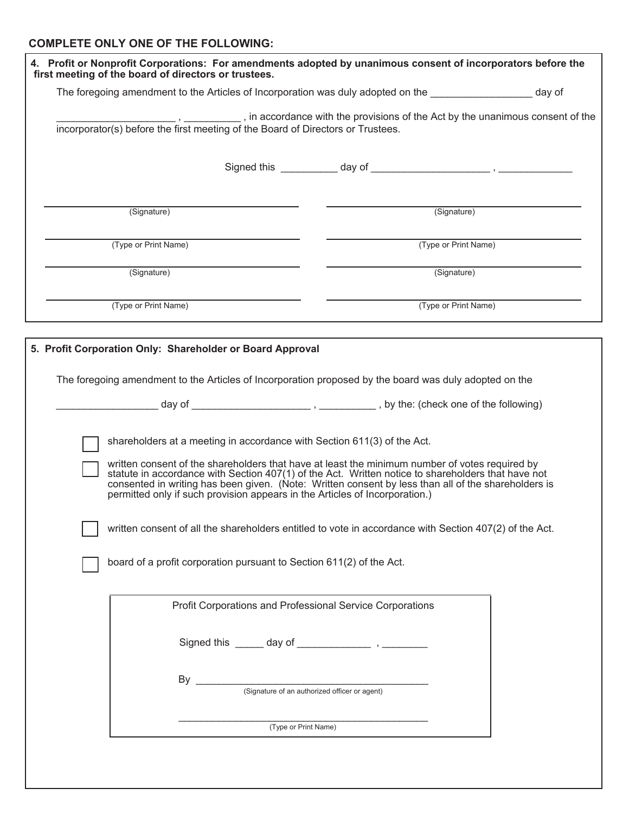### **COMPLETE ONLY ONE OF THE FOLLOWING:**

|                                                                                 | The foregoing amendment to the Articles of Incorporation was duly adopted on the The foregoing amendment to the Articles of Incorporation was duly adopted on the                                                                                                                                                                                                                       |
|---------------------------------------------------------------------------------|-----------------------------------------------------------------------------------------------------------------------------------------------------------------------------------------------------------------------------------------------------------------------------------------------------------------------------------------------------------------------------------------|
|                                                                                 | $\ldots$ , $\ldots$ , in accordance with the provisions of the Act by the unanimous consent of the                                                                                                                                                                                                                                                                                      |
| incorporator(s) before the first meeting of the Board of Directors or Trustees. |                                                                                                                                                                                                                                                                                                                                                                                         |
|                                                                                 |                                                                                                                                                                                                                                                                                                                                                                                         |
| (Signature)                                                                     | (Signature)                                                                                                                                                                                                                                                                                                                                                                             |
| (Type or Print Name)                                                            | (Type or Print Name)                                                                                                                                                                                                                                                                                                                                                                    |
| (Signature)                                                                     | (Signature)                                                                                                                                                                                                                                                                                                                                                                             |
| (Type or Print Name)                                                            | (Type or Print Name)                                                                                                                                                                                                                                                                                                                                                                    |
| 5. Profit Corporation Only: Shareholder or Board Approval                       |                                                                                                                                                                                                                                                                                                                                                                                         |
|                                                                                 | The foregoing amendment to the Articles of Incorporation proposed by the board was duly adopted on the                                                                                                                                                                                                                                                                                  |
|                                                                                 |                                                                                                                                                                                                                                                                                                                                                                                         |
| shareholders at a meeting in accordance with Section 611(3) of the Act.         |                                                                                                                                                                                                                                                                                                                                                                                         |
|                                                                                 | written consent of the shareholders that have at least the minimum number of votes required by<br>statute in accordance with Section 407(1) of the Act. Written notice to shareholders that have not<br>consented in writing has been given. (Note: Written consent by less than all of the shareholders is permitted only if such provision appears in the Articles of Incorporation.) |
|                                                                                 | written consent of all the shareholders entitled to vote in accordance with Section 407(2) of the Act.                                                                                                                                                                                                                                                                                  |
| board of a profit corporation pursuant to Section 611(2) of the Act.            |                                                                                                                                                                                                                                                                                                                                                                                         |
|                                                                                 | Profit Corporations and Professional Service Corporations                                                                                                                                                                                                                                                                                                                               |
|                                                                                 |                                                                                                                                                                                                                                                                                                                                                                                         |
|                                                                                 |                                                                                                                                                                                                                                                                                                                                                                                         |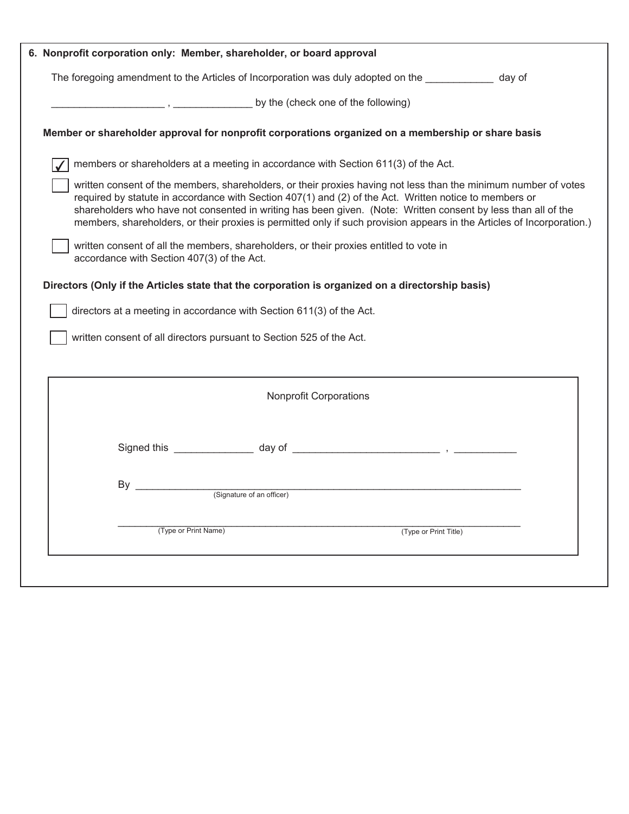|                                                                                                                                                                                                                                                                                                                                                                                                                                                                      | 6. Nonprofit corporation only: Member, shareholder, or board approval                                                                |  |  |  |  |
|----------------------------------------------------------------------------------------------------------------------------------------------------------------------------------------------------------------------------------------------------------------------------------------------------------------------------------------------------------------------------------------------------------------------------------------------------------------------|--------------------------------------------------------------------------------------------------------------------------------------|--|--|--|--|
|                                                                                                                                                                                                                                                                                                                                                                                                                                                                      | The foregoing amendment to the Articles of Incorporation was duly adopted on the subsequence of day of                               |  |  |  |  |
|                                                                                                                                                                                                                                                                                                                                                                                                                                                                      |                                                                                                                                      |  |  |  |  |
|                                                                                                                                                                                                                                                                                                                                                                                                                                                                      | Member or shareholder approval for nonprofit corporations organized on a membership or share basis                                   |  |  |  |  |
|                                                                                                                                                                                                                                                                                                                                                                                                                                                                      | members or shareholders at a meeting in accordance with Section 611(3) of the Act.                                                   |  |  |  |  |
| written consent of the members, shareholders, or their proxies having not less than the minimum number of votes<br>required by statute in accordance with Section 407(1) and (2) of the Act. Written notice to members or<br>shareholders who have not consented in writing has been given. (Note: Written consent by less than all of the<br>members, shareholders, or their proxies is permitted only if such provision appears in the Articles of Incorporation.) |                                                                                                                                      |  |  |  |  |
|                                                                                                                                                                                                                                                                                                                                                                                                                                                                      | written consent of all the members, shareholders, or their proxies entitled to vote in<br>accordance with Section 407(3) of the Act. |  |  |  |  |
|                                                                                                                                                                                                                                                                                                                                                                                                                                                                      | Directors (Only if the Articles state that the corporation is organized on a directorship basis)                                     |  |  |  |  |
|                                                                                                                                                                                                                                                                                                                                                                                                                                                                      | directors at a meeting in accordance with Section 611(3) of the Act.                                                                 |  |  |  |  |
|                                                                                                                                                                                                                                                                                                                                                                                                                                                                      | written consent of all directors pursuant to Section 525 of the Act.                                                                 |  |  |  |  |
|                                                                                                                                                                                                                                                                                                                                                                                                                                                                      |                                                                                                                                      |  |  |  |  |
|                                                                                                                                                                                                                                                                                                                                                                                                                                                                      | <b>Nonprofit Corporations</b>                                                                                                        |  |  |  |  |
|                                                                                                                                                                                                                                                                                                                                                                                                                                                                      |                                                                                                                                      |  |  |  |  |
|                                                                                                                                                                                                                                                                                                                                                                                                                                                                      | By                                                                                                                                   |  |  |  |  |
| (Signature of an officer)                                                                                                                                                                                                                                                                                                                                                                                                                                            |                                                                                                                                      |  |  |  |  |
|                                                                                                                                                                                                                                                                                                                                                                                                                                                                      | (Type or Print Name)<br>(Type or Print Title)                                                                                        |  |  |  |  |
|                                                                                                                                                                                                                                                                                                                                                                                                                                                                      |                                                                                                                                      |  |  |  |  |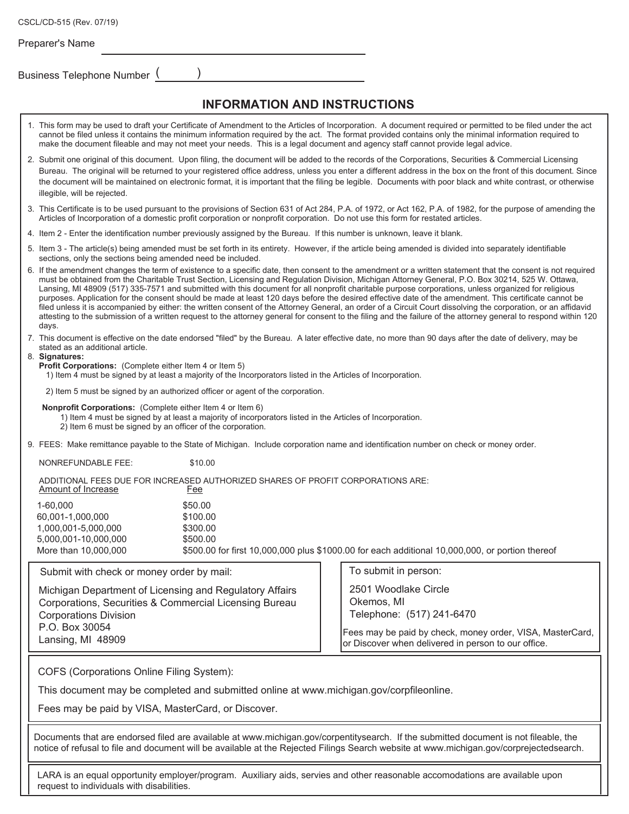| CSCL/CD-515 (Rev. 07/19)                                                                                                                                                                                                                                                                                                                                                                                                                                                                                                                                                                                                                                                                                                                                                                                                                                                                                                                                                       |                                                                                                                              |  |  |  |  |
|--------------------------------------------------------------------------------------------------------------------------------------------------------------------------------------------------------------------------------------------------------------------------------------------------------------------------------------------------------------------------------------------------------------------------------------------------------------------------------------------------------------------------------------------------------------------------------------------------------------------------------------------------------------------------------------------------------------------------------------------------------------------------------------------------------------------------------------------------------------------------------------------------------------------------------------------------------------------------------|------------------------------------------------------------------------------------------------------------------------------|--|--|--|--|
| Preparer's Name                                                                                                                                                                                                                                                                                                                                                                                                                                                                                                                                                                                                                                                                                                                                                                                                                                                                                                                                                                |                                                                                                                              |  |  |  |  |
| Business Telephone Number (<br><b>INFORMATION AND INSTRUCTIONS</b>                                                                                                                                                                                                                                                                                                                                                                                                                                                                                                                                                                                                                                                                                                                                                                                                                                                                                                             |                                                                                                                              |  |  |  |  |
| 1. This form may be used to draft your Certificate of Amendment to the Articles of Incorporation. A document required or permitted to be filed under the act<br>cannot be filed unless it contains the minimum information required by the act. The format provided contains only the minimal information required to<br>make the document fileable and may not meet your needs. This is a legal document and agency staff cannot provide legal advice.                                                                                                                                                                                                                                                                                                                                                                                                                                                                                                                        |                                                                                                                              |  |  |  |  |
| 2. Submit one original of this document. Upon filing, the document will be added to the records of the Corporations, Securities & Commercial Licensing<br>Bureau. The original will be returned to your registered office address, unless you enter a different address in the box on the front of this document. Since<br>the document will be maintained on electronic format, it is important that the filing be legible. Documents with poor black and white contrast, or otherwise<br>illegible, will be rejected.                                                                                                                                                                                                                                                                                                                                                                                                                                                        |                                                                                                                              |  |  |  |  |
| 3. This Certificate is to be used pursuant to the provisions of Section 631 of Act 284, P.A. of 1972, or Act 162, P.A. of 1982, for the purpose of amending the<br>Articles of Incorporation of a domestic profit corporation or nonprofit corporation. Do not use this form for restated articles.                                                                                                                                                                                                                                                                                                                                                                                                                                                                                                                                                                                                                                                                            |                                                                                                                              |  |  |  |  |
| 4. Item 2 - Enter the identification number previously assigned by the Bureau. If this number is unknown, leave it blank.                                                                                                                                                                                                                                                                                                                                                                                                                                                                                                                                                                                                                                                                                                                                                                                                                                                      |                                                                                                                              |  |  |  |  |
| 5. Item 3 - The article(s) being amended must be set forth in its entirety. However, if the article being amended is divided into separately identifiable<br>sections, only the sections being amended need be included.                                                                                                                                                                                                                                                                                                                                                                                                                                                                                                                                                                                                                                                                                                                                                       |                                                                                                                              |  |  |  |  |
| 6. If the amendment changes the term of existence to a specific date, then consent to the amendment or a written statement that the consent is not required<br>must be obtained from the Charitable Trust Section, Licensing and Regulation Division, Michigan Attorney General, P.O. Box 30214, 525 W. Ottawa,<br>Lansing, MI 48909 (517) 335-7571 and submitted with this document for all nonprofit charitable purpose corporations, unless organized for religious<br>purposes. Application for the consent should be made at least 120 days before the desired effective date of the amendment. This certificate cannot be<br>filed unless it is accompanied by either: the written consent of the Attorney General, an order of a Circuit Court dissolving the corporation, or an affidavid<br>attesting to the submission of a written request to the attorney general for consent to the filing and the failure of the attorney general to respond within 120<br>days. |                                                                                                                              |  |  |  |  |
| 7. This document is effective on the date endorsed "filed" by the Bureau. A later effective date, no more than 90 days after the date of delivery, may be<br>stated as an additional article.<br>8. Signatures:<br><b>Profit Corporations:</b> (Complete either Item 4 or Item 5)<br>1) Item 4 must be signed by at least a majority of the Incorporators listed in the Articles of Incorporation.                                                                                                                                                                                                                                                                                                                                                                                                                                                                                                                                                                             |                                                                                                                              |  |  |  |  |
| 2) Item 5 must be signed by an authorized officer or agent of the corporation.                                                                                                                                                                                                                                                                                                                                                                                                                                                                                                                                                                                                                                                                                                                                                                                                                                                                                                 |                                                                                                                              |  |  |  |  |
| <b>Nonprofit Corporations:</b> (Complete either Item 4 or Item 6)<br>1) Item 4 must be signed by at least a majority of incorporators listed in the Articles of Incorporation.<br>2) Item 6 must be signed by an officer of the corporation.                                                                                                                                                                                                                                                                                                                                                                                                                                                                                                                                                                                                                                                                                                                                   |                                                                                                                              |  |  |  |  |
| 9. FEES: Make remittance payable to the State of Michigan. Include corporation name and identification number on check or money order.                                                                                                                                                                                                                                                                                                                                                                                                                                                                                                                                                                                                                                                                                                                                                                                                                                         |                                                                                                                              |  |  |  |  |
| NONREFUNDABLE FEE:<br>\$10.00                                                                                                                                                                                                                                                                                                                                                                                                                                                                                                                                                                                                                                                                                                                                                                                                                                                                                                                                                  |                                                                                                                              |  |  |  |  |
| ADDITIONAL FEES DUE FOR INCREASED AUTHORIZED SHARES OF PROFIT CORPORATIONS ARE:<br>Amount of Increase<br>Fee                                                                                                                                                                                                                                                                                                                                                                                                                                                                                                                                                                                                                                                                                                                                                                                                                                                                   |                                                                                                                              |  |  |  |  |
| 1-60,000<br>\$50.00<br>60,001-1,000,000<br>\$100.00<br>1,000,001-5,000,000<br>\$300.00<br>5,000,001-10,000,000<br>\$500.00<br>More than 10,000,000<br>\$500.00 for first 10,000,000 plus \$1000.00 for each additional 10,000,000, or portion thereof                                                                                                                                                                                                                                                                                                                                                                                                                                                                                                                                                                                                                                                                                                                          |                                                                                                                              |  |  |  |  |
| Submit with check or money order by mail:                                                                                                                                                                                                                                                                                                                                                                                                                                                                                                                                                                                                                                                                                                                                                                                                                                                                                                                                      | To submit in person:                                                                                                         |  |  |  |  |
| Michigan Department of Licensing and Regulatory Affairs<br>Corporations, Securities & Commercial Licensing Bureau<br><b>Corporations Division</b><br>P.O. Box 30054                                                                                                                                                                                                                                                                                                                                                                                                                                                                                                                                                                                                                                                                                                                                                                                                            | 2501 Woodlake Circle<br>Okemos, MI<br>Telephone: (517) 241-6470<br>Fees may be paid by check, money order, VISA, MasterCard, |  |  |  |  |
| Lansing, MI 48909<br>or Discover when delivered in person to our office.                                                                                                                                                                                                                                                                                                                                                                                                                                                                                                                                                                                                                                                                                                                                                                                                                                                                                                       |                                                                                                                              |  |  |  |  |
| COFS (Corporations Online Filing System):                                                                                                                                                                                                                                                                                                                                                                                                                                                                                                                                                                                                                                                                                                                                                                                                                                                                                                                                      |                                                                                                                              |  |  |  |  |

This document may be completed and submitted online at www.michigan.gov/corpfileonline.

Fees may be paid by VISA, MasterCard, or Discover.

Documents that are endorsed filed are available at www.michigan.gov/corpentitysearch. If the submitted document is not fileable, the notice of refusal to file and document will be available at the Rejected Filings Search website at www.michigan.gov/corprejectedsearch.

LARA is an equal opportunity employer/program. Auxiliary aids, servies and other reasonable accomodations are available upon request to individuals with disabilities.